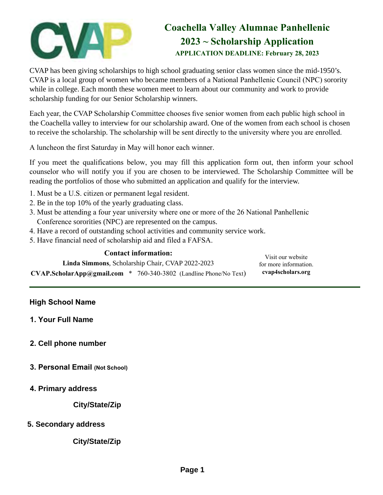# **Coachella Valley Alumnae Panhellenic 2023 ~ Scholarship Application APPLICATION DEADLINE: February 28, 2023**

CVAP has been giving scholarships to high school graduating senior class women since the mid-1950's. CVAP is a local group of women who became members of a National Panhellenic Council (NPC) sorority while in college. Each month these women meet to learn about our community and work to provide scholarship funding for our Senior Scholarship winners.

Each year, the CVAP Scholarship Committee chooses five senior women from each public high school in the Coachella valley to interview for our scholarship award. One of the women from each school is chosen to receive the scholarship. The scholarship will be sent directly to the university where you are enrolled.

A luncheon the first Saturday in May will honor each winner.

If you meet the qualifications below, you may fill this application form out, then inform your school counselor who will notify you if you are chosen to be interviewed. The Scholarship Committee will be reading the portfolios of those who submitted an application and qualify for the interview.

- 1. Must be a U.S. citizen or permanent legal resident.
- 2. Be in the top 10% of the yearly graduating class.
- 3. Must be attending a four year university where one or more of the 26 National Panhellenic Conference sororities (NPC) are represented on the campus.
- 4. Have a record of outstanding school activities and community service work.
- 5. Have financial need of scholarship aid and filed a FAFSA.

| <b>Contact information:</b>                      |                                       | Visit our website     |
|--------------------------------------------------|---------------------------------------|-----------------------|
| Linda Simmons, Scholarship Chair, CVAP 2022-2023 |                                       | for more information. |
| $\text{CVAP.ScholarApp@gmail.com}$ *             | 760-340-3802 (Landline Phone/No Text) | cvap4scholars.org     |

#### **High School Name**

- **1. Your Full Name**
- **2. Cell phone number**
- **3. Personal Email (Not School)**
- **4. Primary address**

**City/State/Zip**

**5. Secondary address**

**City/State/Zip**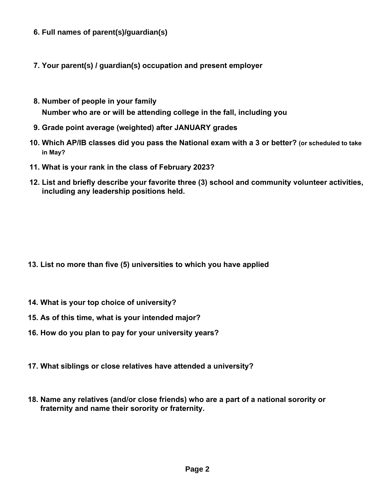- **6. Full names of parent(s)/guardian(s)**
- **7. Your parent(s) / guardian(s) occupation and present employer**
- **8. Number of people in your family Number who are or will be attending college in the fall, including you**
- **9. Grade point average (weighted) after JANUARY grades**
- **10. Which AP/IB classes did you pass the National exam with a 3 or better? (or scheduled to take in May?**
- **11. What is your rank in the class of February 2023?**
- **12. List and briefly describe your favorite three (3) school and community volunteer activities, including any leadership positions held.**

- **13. List no more than five (5) universities to which you have applied**
- **14. What is your top choice of university?**
- **15. As of this time, what is your intended major?**
- **16. How do you plan to pay for your university years?**
- **17. What siblings or close relatives have attended a university?**
- **18. Name any relatives (and/or close friends) who are a part of a national sorority or fraternity and name their sorority or fraternity.**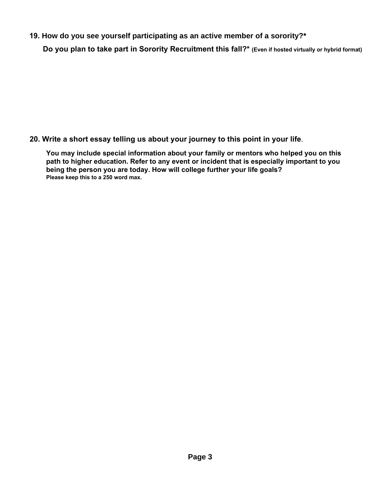**19. How do you see yourself participating as an active member of a sorority?\***

**Do you plan to take part in Sorority Recruitment this fall?\* (Even if hosted virtually or hybrid format)**

**20. Write a short essay telling us about your journey to this point in your life**.

**You may include special information about your family or mentors who helped you on this path to higher education. Refer to any event or incident that is especially important to you being the person you are today. How will college further your life goals? Please keep this to a 250 word max.**